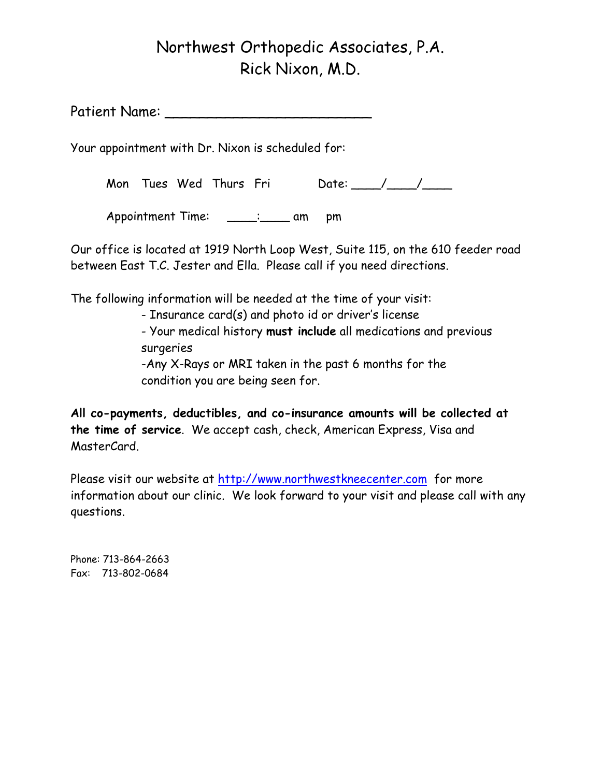## Northwest Orthopedic Associates, P.A. Rick Nixon, M.D.

Patient Name: \_\_\_\_\_\_\_\_\_\_\_\_\_\_\_\_\_\_\_\_\_\_\_\_

Your appointment with Dr. Nixon is scheduled for:

Mon Tues Wed Thurs Fri Date: 11, 1988

Appointment Time: \_\_\_\_: \_\_\_\_ am pm

Our office is located at 1919 North Loop West, Suite 115, on the 610 feeder road between East T.C. Jester and Ella. Please call if you need directions.

The following information will be needed at the time of your visit:

- Insurance card(s) and photo id or driver's license

- Your medical history **must include** all medications and previous surgeries

 -Any X-Rays or MRI taken in the past 6 months for the condition you are being seen for.

**All co-payments, deductibles, and co-insurance amounts will be collected at the time of service**. We accept cash, check, American Express, Visa and MasterCard.

Please visit our website at http://www.northwestkneecenter.com for more information about our clinic. We look forward to your visit and please call with any questions.

Phone: 713-864-2663 Fax: 713-802-0684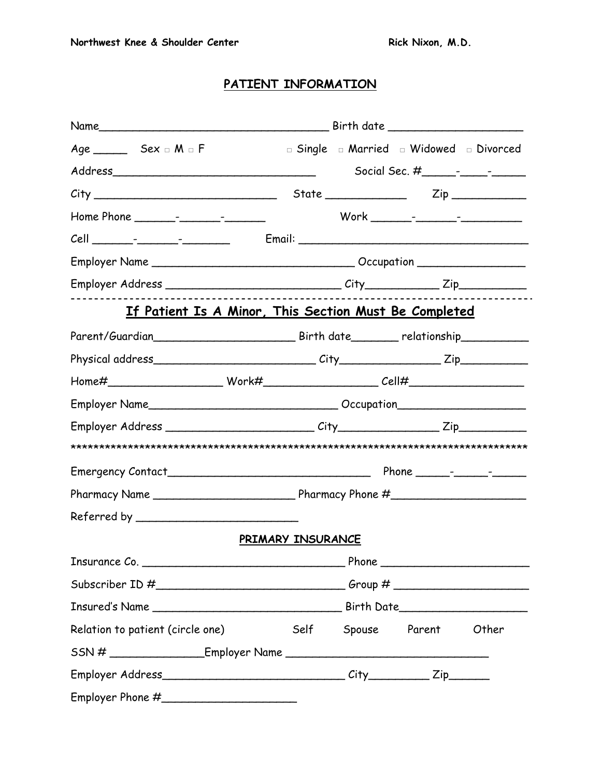### **PATIENT INFORMATION**

| $Age$ Sex $\Box$ M $\Box$ F                                                      |                    | <b>I</b> Single <b>I</b> Married <b>I</b> Widowed <b>I</b> Divorced |
|----------------------------------------------------------------------------------|--------------------|---------------------------------------------------------------------|
|                                                                                  |                    |                                                                     |
|                                                                                  |                    |                                                                     |
|                                                                                  |                    |                                                                     |
|                                                                                  |                    |                                                                     |
|                                                                                  |                    |                                                                     |
|                                                                                  |                    |                                                                     |
| <u>If Patient Is A Minor, This Section Must Be Completed</u>                     |                    |                                                                     |
|                                                                                  |                    |                                                                     |
|                                                                                  |                    |                                                                     |
|                                                                                  |                    |                                                                     |
|                                                                                  |                    |                                                                     |
|                                                                                  |                    |                                                                     |
|                                                                                  |                    |                                                                     |
|                                                                                  |                    |                                                                     |
|                                                                                  |                    |                                                                     |
|                                                                                  |                    |                                                                     |
|                                                                                  | PRIMARY INSURANCE  |                                                                     |
|                                                                                  |                    |                                                                     |
|                                                                                  |                    |                                                                     |
|                                                                                  |                    |                                                                     |
| Relation to patient (circle one)                                                 | Self Spouse Parent | Other                                                               |
| SSN # _________________________Employer Name ___________________________________ |                    |                                                                     |
|                                                                                  |                    |                                                                     |
|                                                                                  |                    |                                                                     |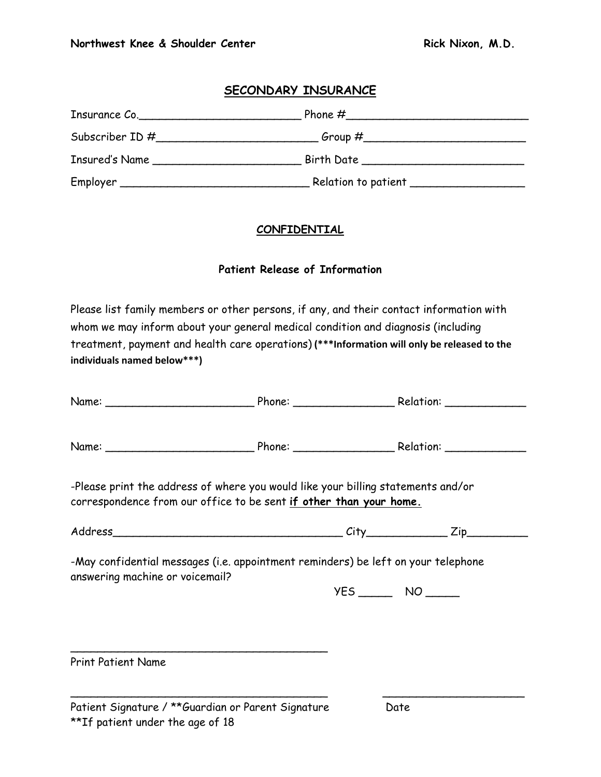#### **SECONDARY INSURANCE**

| Insurance Co.                            |                                        |  |
|------------------------------------------|----------------------------------------|--|
| Subscriber ID #                          |                                        |  |
| Insured's Name                           | Birth Date ___________________________ |  |
| Employer _______________________________ | Relation to patient _____________      |  |

#### **CONFIDENTIAL**

#### **Patient Release of Information**

Please list family members or other persons, if any, and their contact information with whom we may inform about your general medical condition and diagnosis (including treatment, payment and health care operations) **(\*\*\*Information will only be released to the individuals named below\*\*\*)** 

| -Please print the address of where you would like your billing statements and/or<br>correspondence from our office to be sent if other than your home. |  |  |
|--------------------------------------------------------------------------------------------------------------------------------------------------------|--|--|
|                                                                                                                                                        |  |  |
| -May confidential messages (i.e. appointment reminders) be left on your telephone<br>answering machine or voicemail?                                   |  |  |
|                                                                                                                                                        |  |  |
|                                                                                                                                                        |  |  |
|                                                                                                                                                        |  |  |
| <b>Print Patient Name</b>                                                                                                                              |  |  |

 $\overline{\phantom{a}}$  , and the contract of the contract of the contract of the contract of the contract of the contract of the contract of the contract of the contract of the contract of the contract of the contract of the contrac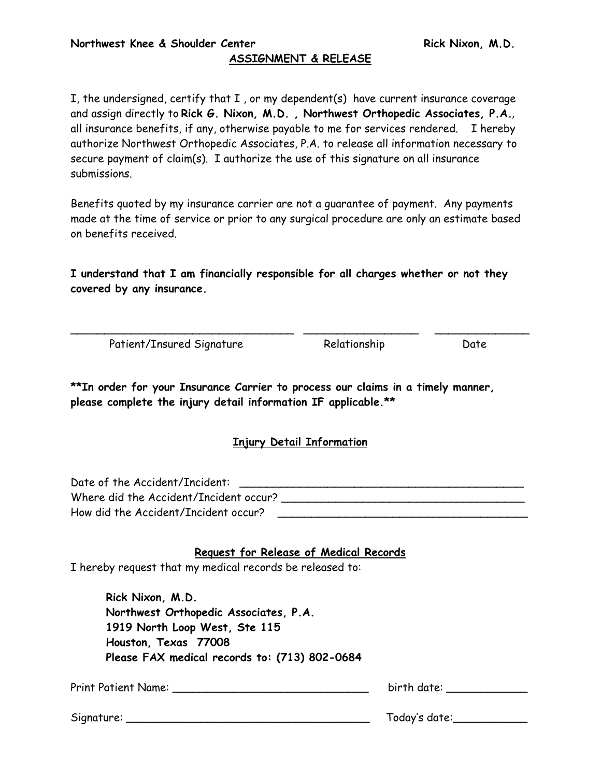### **ASSIGNMENT & RELEASE**

I, the undersigned, certify that I , or my dependent(s) have current insurance coverage and assign directly to **Rick G. Nixon, M.D. , Northwest Orthopedic Associates, P.A.**, all insurance benefits, if any, otherwise payable to me for services rendered. I hereby authorize Northwest Orthopedic Associates, P.A. to release all information necessary to secure payment of claim(s). I authorize the use of this signature on all insurance submissions.

Benefits quoted by my insurance carrier are not a guarantee of payment. Any payments made at the time of service or prior to any surgical procedure are only an estimate based on benefits received.

**I understand that I am financially responsible for all charges whether or not they covered by any insurance.** 

\_\_\_\_\_\_\_\_\_\_\_\_\_\_\_\_\_\_\_\_\_\_\_\_\_\_\_\_\_\_\_\_\_ \_\_\_\_\_\_\_\_\_\_\_\_\_\_\_\_\_ \_\_\_\_\_\_\_\_\_\_\_\_\_\_

Patient/Insured Signature Relationship Date

**\*\*In order for your Insurance Carrier to process our claims in a timely manner, please complete the injury detail information IF applicable.\*\*** 

#### **Injury Detail Information**

Date of the Accident/Incident: \_\_\_\_\_\_\_\_\_\_\_\_\_\_\_\_\_\_\_\_\_\_\_\_\_\_\_\_\_\_\_\_\_\_\_\_\_\_\_\_\_\_ Where did the Accident/Incident occur? How did the Accident/Incident occur?

#### **Request for Release of Medical Records**

I hereby request that my medical records be released to:

 **Rick Nixon, M.D. Northwest Orthopedic Associates, P.A. 1919 North Loop West, Ste 115 Houston, Texas 77008 Please FAX medical records to: (713) 802-0684** 

Print Patient Name: \_\_\_\_\_\_\_\_\_\_\_\_\_\_\_\_\_\_\_\_\_\_\_\_\_\_\_\_\_ birth date: \_\_\_\_\_\_\_\_\_\_\_\_

Signature: \_\_\_\_\_\_\_\_\_\_\_\_\_\_\_\_\_\_\_\_\_\_\_\_\_\_\_\_\_\_\_\_\_\_\_\_ Today's date:\_\_\_\_\_\_\_\_\_\_\_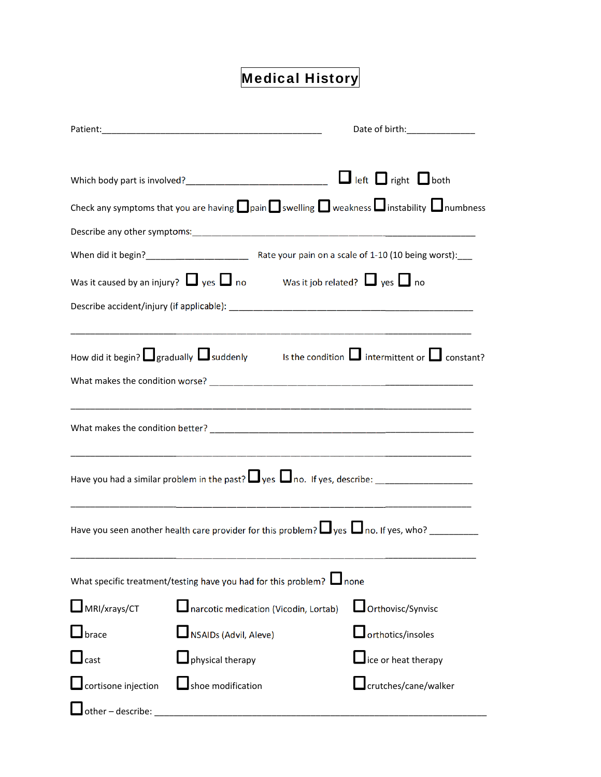# Medical History

|                                                                                                                       |                                       |                          | Date of birth:________________ |
|-----------------------------------------------------------------------------------------------------------------------|---------------------------------------|--------------------------|--------------------------------|
|                                                                                                                       |                                       |                          |                                |
|                                                                                                                       |                                       |                          |                                |
| Check any symptoms that you are having $\Box$ pain $\Box$ swelling $\Box$ weakness $\Box$ instability $\Box$ numbness |                                       |                          |                                |
|                                                                                                                       |                                       |                          |                                |
|                                                                                                                       |                                       |                          |                                |
| Was it caused by an injury? $\Box$ yes $\Box$ no Was it job related? $\Box$ yes $\Box$ no                             |                                       |                          |                                |
|                                                                                                                       |                                       |                          |                                |
|                                                                                                                       |                                       |                          |                                |
| How did it begin? $\Box$ gradually $\Box$ suddenly sthe condition $\Box$ intermittent or $\Box$ constant?             |                                       |                          |                                |
|                                                                                                                       |                                       |                          |                                |
|                                                                                                                       |                                       |                          |                                |
|                                                                                                                       |                                       |                          |                                |
|                                                                                                                       |                                       |                          |                                |
|                                                                                                                       |                                       |                          |                                |
|                                                                                                                       |                                       |                          |                                |
| Have you seen another health care provider for this problem? $\Box$ yes $\Box$ no. If yes, who? __________            |                                       |                          |                                |
|                                                                                                                       |                                       |                          |                                |
| What specific treatment/testing have you had for this problem? $\Box$ none                                            |                                       |                          |                                |
| MRI/xrays/CT                                                                                                          | narcotic medication (Vicodin, Lortab) | Orthovisc/Synvisc        |                                |
| brace                                                                                                                 | NSAIDs (Advil, Aleve)                 | $\Box$ orthotics/insoles |                                |
| $\mathbf{\mathsf{\_}}$ cast                                                                                           | $\mathsf{J}$ physical therapy         | ice or heat therapy      |                                |
| cortisone injection                                                                                                   | shoe modification                     | crutches/cane/walker     |                                |
| other-describe:                                                                                                       |                                       |                          |                                |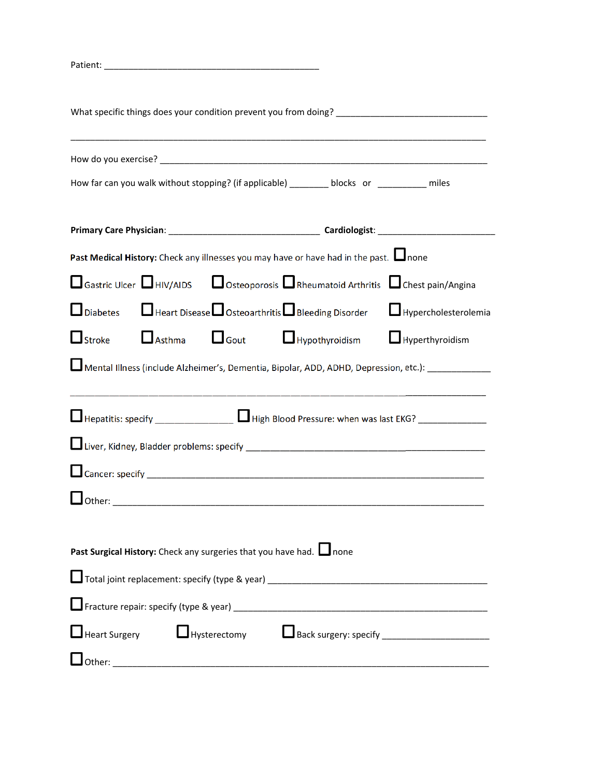| What specific things does your condition prevent you from doing? ___________________________________                                                                                                                            |                        |
|---------------------------------------------------------------------------------------------------------------------------------------------------------------------------------------------------------------------------------|------------------------|
|                                                                                                                                                                                                                                 |                        |
| How far can you walk without stopping? (if applicable) ________ blocks or _________ miles                                                                                                                                       |                        |
|                                                                                                                                                                                                                                 |                        |
| Past Medical History: Check any illnesses you may have or have had in the past. Inone                                                                                                                                           |                        |
| □ Gastric Ulcer □ HIV/AIDS □ Osteoporosis □ Rheumatoid Arthritis □ Chest pain/Angina                                                                                                                                            |                        |
| $\Box$ Heart Disease $\Box$ Osteoarthritis $\Box$ Bleeding Disorder<br>$\Box$ Diabetes                                                                                                                                          | Hypercholesterolemia   |
| $\Box$ Asthma $\Box$ Gout $\Box$ Hypothyroidism<br>$\Box$ Stroke                                                                                                                                                                | $\Box$ Hyperthyroidism |
| Mental Illness (include Alzheimer's, Dementia, Bipolar, ADD, ADHD, Depression, etc.): _____________                                                                                                                             |                        |
| <u> 1990 - Jan James James James James James James James James James James James James James James James James J</u><br>$\Box$ Hepatitis: specify _______________ $\Box$ High Blood Pressure: when was last EKG? ______________ |                        |
|                                                                                                                                                                                                                                 |                        |
|                                                                                                                                                                                                                                 |                        |
| $\Box$ Other:                                                                                                                                                                                                                   |                        |
|                                                                                                                                                                                                                                 |                        |
| Past Surgical History: Check any surgeries that you have had. Inone                                                                                                                                                             |                        |
|                                                                                                                                                                                                                                 |                        |
|                                                                                                                                                                                                                                 |                        |
| Heart Surgery Hysterectomy Lack surgery: specify ________________________________                                                                                                                                               |                        |
|                                                                                                                                                                                                                                 |                        |